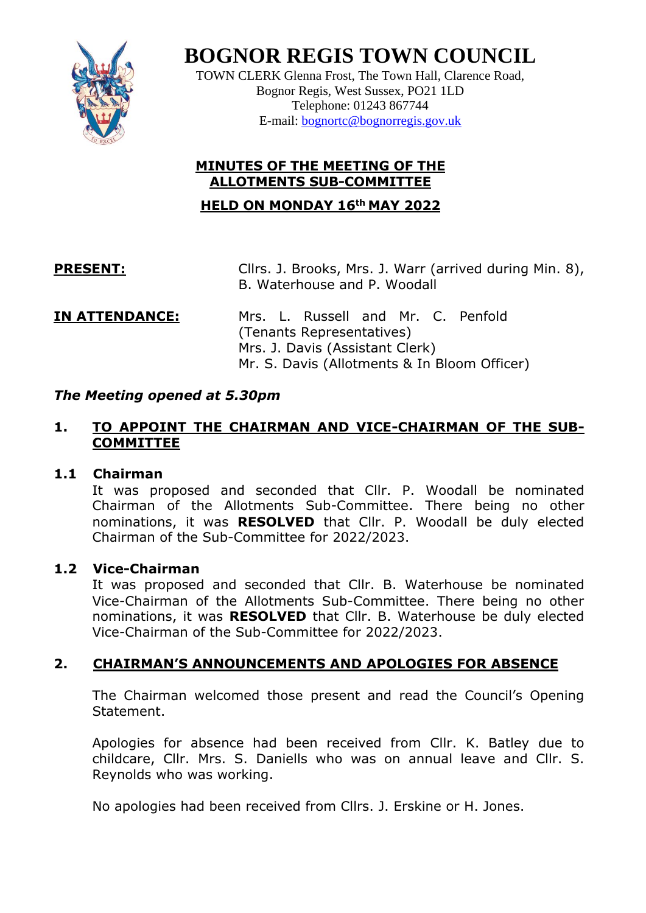

**BOGNOR REGIS TOWN COUNCIL**

TOWN CLERK Glenna Frost, The Town Hall, Clarence Road, Bognor Regis, West Sussex, PO21 1LD Telephone: 01243 867744 E-mail: [bognortc@bognorregis.gov.uk](mailto:bognortc@bognorregis.gov.uk)

## **MINUTES OF THE MEETING OF THE ALLOTMENTS SUB-COMMITTEE**

**HELD ON MONDAY 16th MAY 2022**

**PRESENT:** Cllrs. J. Brooks, Mrs. J. Warr (arrived during Min. 8), B. Waterhouse and P. Woodall

#### **IN ATTENDANCE:** Mrs. L. Russell and Mr. C. Penfold (Tenants Representatives) Mrs. J. Davis (Assistant Clerk) Mr. S. Davis (Allotments & In Bloom Officer)

## *The Meeting opened at 5.30pm*

## **1. TO APPOINT THE CHAIRMAN AND VICE-CHAIRMAN OF THE SUB-COMMITTEE**

## **1.1 Chairman**

It was proposed and seconded that Cllr. P. Woodall be nominated Chairman of the Allotments Sub-Committee. There being no other nominations, it was **RESOLVED** that Cllr. P. Woodall be duly elected Chairman of the Sub-Committee for 2022/2023.

## **1.2 Vice-Chairman**

It was proposed and seconded that Cllr. B. Waterhouse be nominated Vice-Chairman of the Allotments Sub-Committee. There being no other nominations, it was **RESOLVED** that Cllr. B. Waterhouse be duly elected Vice-Chairman of the Sub-Committee for 2022/2023.

## **2. CHAIRMAN'S ANNOUNCEMENTS AND APOLOGIES FOR ABSENCE**

The Chairman welcomed those present and read the Council's Opening Statement.

Apologies for absence had been received from Cllr. K. Batley due to childcare, Cllr. Mrs. S. Daniells who was on annual leave and Cllr. S. Reynolds who was working.

No apologies had been received from Cllrs. J. Erskine or H. Jones.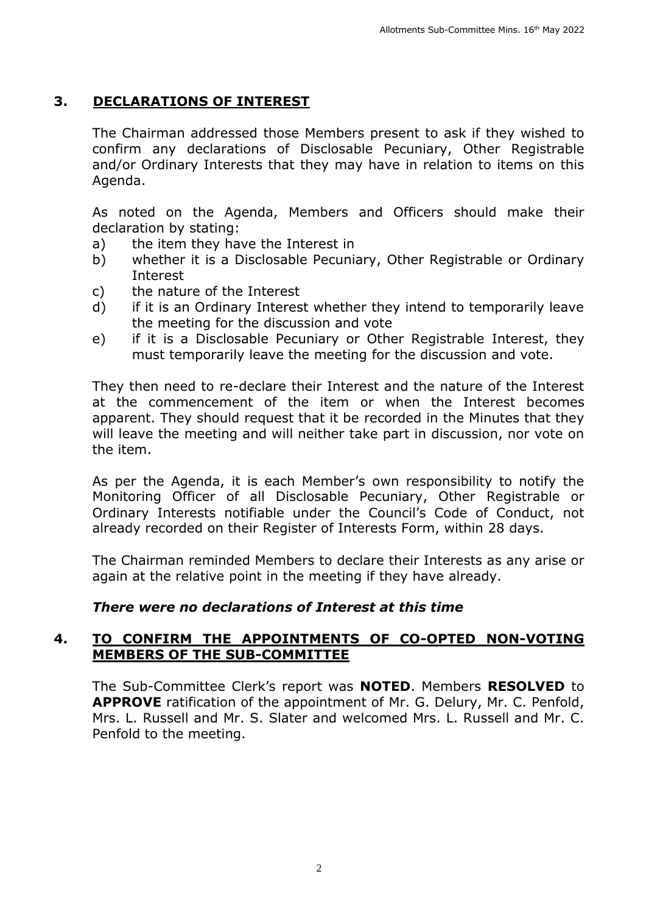## **3. DECLARATIONS OF INTEREST**

The Chairman addressed those Members present to ask if they wished to confirm any declarations of Disclosable Pecuniary, Other Registrable and/or Ordinary Interests that they may have in relation to items on this Agenda.

As noted on the Agenda, Members and Officers should make their declaration by stating:

- a) the item they have the Interest in
- b) whether it is a Disclosable Pecuniary, Other Registrable or Ordinary Interest
- c) the nature of the Interest
- d) if it is an Ordinary Interest whether they intend to temporarily leave the meeting for the discussion and vote
- e) if it is a Disclosable Pecuniary or Other Registrable Interest, they must temporarily leave the meeting for the discussion and vote.

They then need to re-declare their Interest and the nature of the Interest at the commencement of the item or when the Interest becomes apparent. They should request that it be recorded in the Minutes that they will leave the meeting and will neither take part in discussion, nor vote on the item.

As per the Agenda, it is each Member's own responsibility to notify the Monitoring Officer of all Disclosable Pecuniary, Other Registrable or Ordinary Interests notifiable under the Council's Code of Conduct, not already recorded on their Register of Interests Form, within 28 days.

The Chairman reminded Members to declare their Interests as any arise or again at the relative point in the meeting if they have already.

#### *There were no declarations of Interest at this time*

#### **4. TO CONFIRM THE APPOINTMENTS OF CO-OPTED NON-VOTING MEMBERS OF THE SUB-COMMITTEE**

The Sub-Committee Clerk's report was **NOTED**. Members **RESOLVED** to **APPROVE** ratification of the appointment of Mr. G. Delury, Mr. C. Penfold, Mrs. L. Russell and Mr. S. Slater and welcomed Mrs. L. Russell and Mr. C. Penfold to the meeting.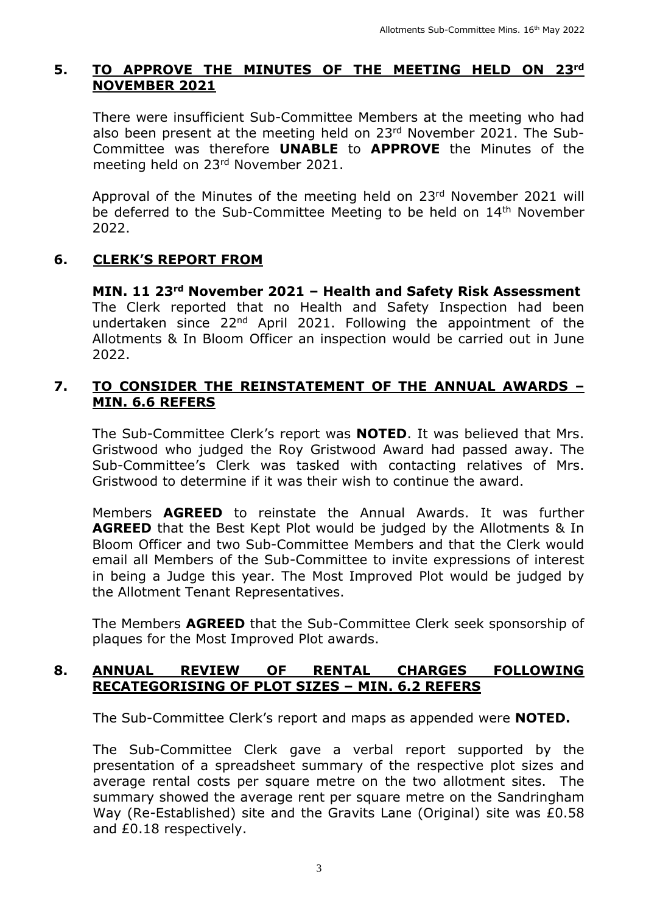## **5. TO APPROVE THE MINUTES OF THE MEETING HELD ON 23rd NOVEMBER 2021**

There were insufficient Sub-Committee Members at the meeting who had also been present at the meeting held on 23<sup>rd</sup> November 2021. The Sub-Committee was therefore **UNABLE** to **APPROVE** the Minutes of the meeting held on 23rd November 2021.

Approval of the Minutes of the meeting held on 23rd November 2021 will be deferred to the Sub-Committee Meeting to be held on 14<sup>th</sup> November 2022.

## **6. CLERK'S REPORT FROM**

**MIN. 11 23rd November 2021 – Health and Safety Risk Assessment** The Clerk reported that no Health and Safety Inspection had been undertaken since 22nd April 2021. Following the appointment of the Allotments & In Bloom Officer an inspection would be carried out in June 2022.

#### **7. TO CONSIDER THE REINSTATEMENT OF THE ANNUAL AWARDS – MIN. 6.6 REFERS**

The Sub-Committee Clerk's report was **NOTED**. It was believed that Mrs. Gristwood who judged the Roy Gristwood Award had passed away. The Sub-Committee's Clerk was tasked with contacting relatives of Mrs. Gristwood to determine if it was their wish to continue the award.

Members **AGREED** to reinstate the Annual Awards. It was further **AGREED** that the Best Kept Plot would be judged by the Allotments & In Bloom Officer and two Sub-Committee Members and that the Clerk would email all Members of the Sub-Committee to invite expressions of interest in being a Judge this year. The Most Improved Plot would be judged by the Allotment Tenant Representatives.

The Members **AGREED** that the Sub-Committee Clerk seek sponsorship of plaques for the Most Improved Plot awards.

#### **8. ANNUAL REVIEW OF RENTAL CHARGES FOLLOWING RECATEGORISING OF PLOT SIZES – MIN. 6.2 REFERS**

The Sub-Committee Clerk's report and maps as appended were **NOTED.**

The Sub-Committee Clerk gave a verbal report supported by the presentation of a spreadsheet summary of the respective plot sizes and average rental costs per square metre on the two allotment sites. The summary showed the average rent per square metre on the Sandringham Way (Re-Established) site and the Gravits Lane (Original) site was £0.58 and £0.18 respectively.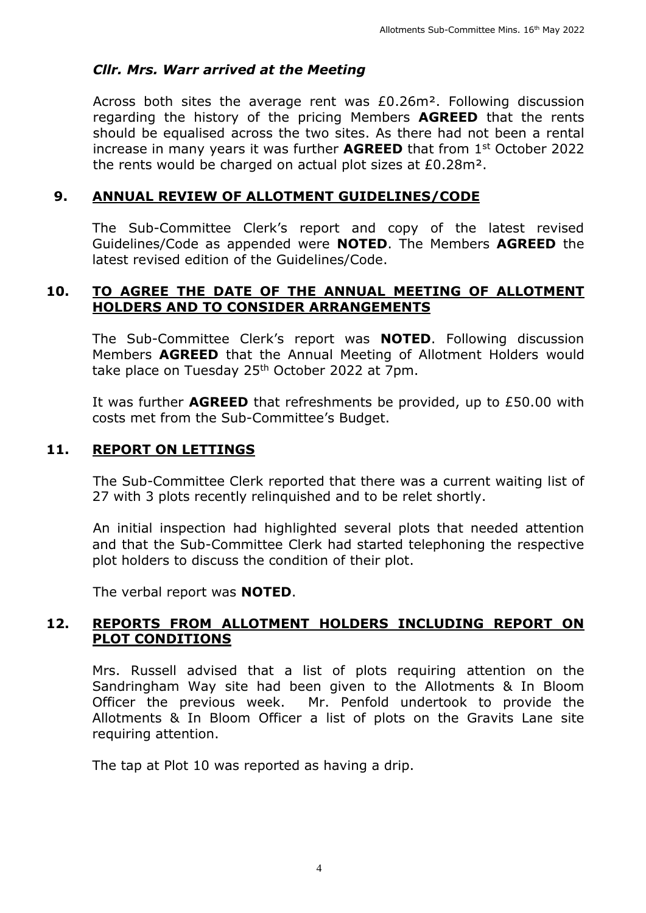## *Cllr. Mrs. Warr arrived at the Meeting*

Across both sites the average rent was £0.26m². Following discussion regarding the history of the pricing Members **AGREED** that the rents should be equalised across the two sites. As there had not been a rental increase in many years it was further **AGREED** that from 1<sup>st</sup> October 2022 the rents would be charged on actual plot sizes at £0.28m².

#### **9. ANNUAL REVIEW OF ALLOTMENT GUIDELINES/CODE**

The Sub-Committee Clerk's report and copy of the latest revised Guidelines/Code as appended were **NOTED**. The Members **AGREED** the latest revised edition of the Guidelines/Code.

#### **10. TO AGREE THE DATE OF THE ANNUAL MEETING OF ALLOTMENT HOLDERS AND TO CONSIDER ARRANGEMENTS**

The Sub-Committee Clerk's report was **NOTED**. Following discussion Members **AGREED** that the Annual Meeting of Allotment Holders would take place on Tuesday 25<sup>th</sup> October 2022 at 7pm.

It was further **AGREED** that refreshments be provided, up to £50.00 with costs met from the Sub-Committee's Budget.

#### **11. REPORT ON LETTINGS**

The Sub-Committee Clerk reported that there was a current waiting list of 27 with 3 plots recently relinquished and to be relet shortly.

An initial inspection had highlighted several plots that needed attention and that the Sub-Committee Clerk had started telephoning the respective plot holders to discuss the condition of their plot.

The verbal report was **NOTED**.

#### **12. REPORTS FROM ALLOTMENT HOLDERS INCLUDING REPORT ON PLOT CONDITIONS**

Mrs. Russell advised that a list of plots requiring attention on the Sandringham Way site had been given to the Allotments & In Bloom Officer the previous week. Mr. Penfold undertook to provide the Allotments & In Bloom Officer a list of plots on the Gravits Lane site requiring attention.

The tap at Plot 10 was reported as having a drip.